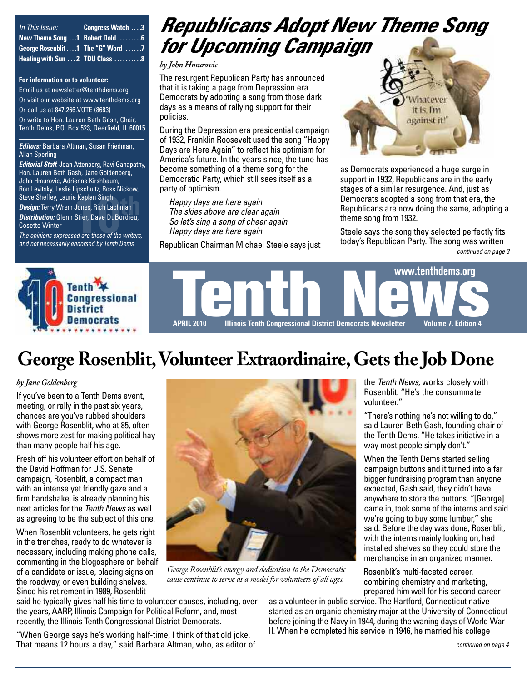| In This Issue: | Congress Watch 3                  |
|----------------|-----------------------------------|
|                | New Theme Song  T Robert Dold  6  |
|                | George Rosenblit 1 The "G" Word 7 |
|                | Heating with Sun  2 TDU Class  8  |

#### **For information or to volunteer:**

Email us at [newsletter@tenthdems.org](mailto:newsletter@tenthdems.org) Or visit our website at [www.tenthdems.org](http://www.tenthdems.org) Or call us at 847.266.VOTE (8683) Or write to Hon. Lauren Beth Gash, Chair, Tenth Dems, P.O. Box 523, Deerfield, IL 60015

#### *Editors:* Barbara Altman, Susan Friedman, Allan Sperling

*Editorial Staff*: Joan Attenberg, Ravi Ganapathy, Hon. Lauren Beth Gash, Jane Goldenberg, John Hmurovic, Adrienne Kirshbaum, Ron Levitsky, Leslie Lipschultz, Ross Nickow, Steve Sheffey, Laurie Kaplan Singh *Design:* Terry Wrem Jones, Rich Lachman

Steve Sheffey, Laurie Kaplan Singh<br>*Design:* Terry Wrem Jones, Rich Lachman<br>*Distribution:* Glenn Stier, Dave DuBordieu, Cosette Winter

*The opinions expressed are those of the writers, and not necessarily endorsed by Tenth Dems*

# *Republicans Adopt New Theme Song for Upcoming Campaign*

*by John Hmurovic* 

The resurgent Republican Party has announced that it is taking a page from Depression era Democrats by adopting a song from those dark days as a means of rallying support for their policies.

During the Depression era presidential campaign of 1932, Franklin Roosevelt used the song "Happy Days are Here Again" to reflect his optimism for America's future. In the years since, the tune has become something of a theme song for the Democratic Party, which still sees itself as a party of optimism.

*Happy days are here again The skies above are clear again So let's sing a song of cheer again Happy days are here again*

Republican Chairman Michael Steele says just



as Democrats experienced a huge surge in support in 1932, Republicans are in the early stages of a similar resurgence. And, just as Democrats adopted a song from that era, the Republicans are now doing the same, adopting a theme song from 1932. Explan Singh<br> *Steele says the skies above are clear again*<br> *Steele says the song from that era, the*<br> *Steele says the song they selected perfectly fits*<br> *Steele says the song they selected perfectly fits*<br> *Mappy days* 

today's Republican Party. The song was written *continued on page 3*



WWW.tenthdems.org<br>APRIL 2010 Illinois Tenth Congressional District Democrats N[ews](http://www.tenthdems.org)letter Volume 7, Edition 4 **APRIL 2010 Illinois Tenth Congressional District Democrats Newsletter Volume 7, Edition 4**

# **George Rosenblit,Volunteer Extraordinaire, Gets the Job Done**

#### *by Jane Goldenberg*

If you've been to a Tenth Dems event, meeting, or rally in the past six years, chances are you've rubbed shoulders with George Rosenblit, who at 85, often shows more zest for making political hay than many people half his age.

Fresh off his volunteer effort on behalf of the David Hoffman for U.S. Senate campaign, Rosenblit, a compact man with an intense yet friendly gaze and a firm handshake, is already planning his next articles for the *Tenth News* as well as agreeing to be the subject of this one.

When Rosenblit volunteers, he gets right in the trenches, ready to do whatever is necessary, including making phone calls, commenting in the blogosphere on behalf of a candidate or issue, placing signs on the roadway, or even building shelves. Since his retirement in 1989, Rosenblit



*George Rosenblit's energy and dedication to the Democratic cause continue to serve as a model for volunteers of all ages.*

said he typically gives half his time to volunteer causes, including, over the years, AARP, Illinois Campaign for Political Reform, and, most recently, the Illinois Tenth Congressional District Democrats.

"When George says he's working half-time, I think of that old joke. That means 12 hours a day," said Barbara Altman, who, as editor of the *Tenth News*, works closely with Rosenblit. "He's the consummate volunteer."

"There's nothing he's not willing to do," said Lauren Beth Gash, founding chair of the Tenth Dems. "He takes initiative in a way most people simply don't."

When the Tenth Dems started selling campaign buttons and it turned into a far bigger fundraising program than anyone expected, Gash said, they didn't have anywhere to store the buttons. "[George] came in, took some of the interns and said we're going to buy some lumber," she said. Before the day was done, Rosenblit, with the interns mainly looking on, had installed shelves so they could store the merchandise in an organized manner.

Rosenblit's multi-faceted career, combining chemistry and marketing, prepared him well for his second career

as a volunteer in public service. The Hartford, Connecticut native started as an organic chemistry major at the University of Connecticut before joining the Navy in 1944, during the waning days of World War II. When he completed his service in 1946, he married his college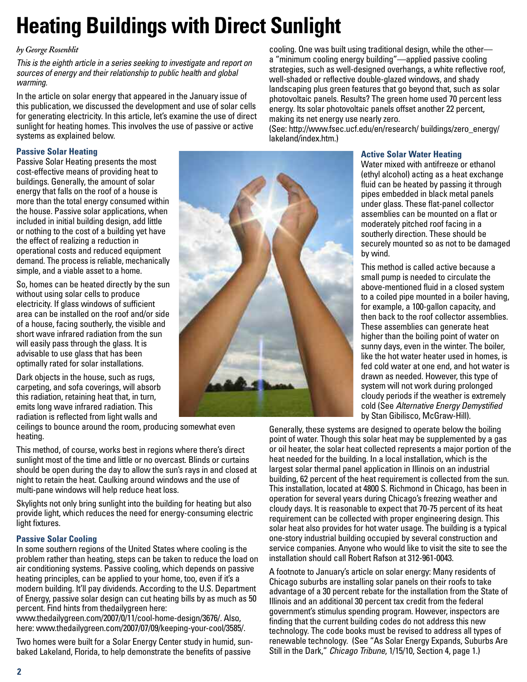# **Heating Buildings with Direct Sunlight**

### *by George Rosenblit*

*This is the eighth article in a series seeking to investigate and report on sources of energy and their relationship to public health and global warming.* 

In the article on solar energy that appeared in the January issue of this publication, we discussed the development and use of solar cells for generating electricity. In this article, let's examine the use of direct sunlight for heating homes. This involves the use of passive or active systems as explained below.

### **Passive Solar Heating**

Passive Solar Heating presents the most cost-effective means of providing heat to buildings. Generally, the amount of solar energy that falls on the roof of a house is more than the total energy consumed within the house. Passive solar applications, when included in initial building design, add little or nothing to the cost of a building yet have the effect of realizing a reduction in operational costs and reduced equipment demand. The process is reliable, mechanically simple, and a viable asset to a home.

So, homes can be heated directly by the sun without using solar cells to produce electricity. If glass windows of sufficient area can be installed on the roof and/or side of a house, facing southerly, the visible and short wave infrared radiation from the sun will easily pass through the glass. It is advisable to use glass that has been optimally rated for solar installations.

Dark objects in the house, such as rugs, carpeting, and sofa coverings, will absorb this radiation, retaining heat that, in turn, emits long wave infrared radiation. This radiation is reflected from light walls and

ceilings to bounce around the room, producing somewhat even heating.

This method, of course, works best in regions where there's direct sunlight most of the time and little or no overcast. Blinds or curtains should be open during the day to allow the sun's rays in and closed at night to retain the heat. Caulking around windows and the use of multi-pane windows will help reduce heat loss.

Skylights not only bring sunlight into the building for heating but also provide light, which reduces the need for energy-consuming electric light fixtures.

### **Passive Solar Cooling**

In some southern regions of the United States where cooling is the problem rather than heating, steps can be taken to reduce the load on air conditioning systems. Passive cooling, which depends on passive heating principles, can be applied to your home, too, even if it's a modern building. It'll pay dividends. According to the U.S. Department of Energy, passive solar design can cut heating bills by as much as 50 percent. Find hints from thedailygreen here:

[www.thedailygreen.com/2007/0/11/cool-home-design/367](http://www.thedailygreen.com/2007/0/11/cool-home-design/3676)6/. Also, here: [www.thedailygreen.com/2007/07/09/keeping-your-cool/358](http://www.thedailygreen.com/2007/07/09/keeping-your-cool/3585)5/.

Two homes were built for a Solar Energy Center study in humid, sunbaked Lakeland, Florida, to help demonstrate the benefits of passive

cooling. One was built using traditional design, while the other a "minimum cooling energy building"—applied passive cooling strategies, such as well-designed overhangs, a white reflective roof, well-shaded or reflective double-glazed windows, and shady landscaping plus green features that go beyond that, such as solar photovoltaic panels. Results? The green home used 70 percent less energy. Its solar photovoltaic panels offset another 22 percent, making its net energy use nearly zero.

(See: [http://www.fsec.ucf.edu/en/research/](http://www.fsec.ucf.edu/en/research) buildings/zero\_energy/ lakeland/index.htm.)

### **Active Solar Water Heating**

Water mixed with antifreeze or ethanol (ethyl alcohol) acting as a heat exchange fluid can be heated by passing it through pipes embedded in black metal panels under glass. These flat-panel collector assemblies can be mounted on a flat or moderately pitched roof facing in a southerly direction. These should be securely mounted so as not to be damaged by wind.

This method is called active because a small pump is needed to circulate the above-mentioned fluid in a closed system to a coiled pipe mounted in a boiler having, for example, a 100-gallon capacity, and then back to the roof collector assemblies. These assemblies can generate heat higher than the boiling point of water on sunny days, even in the winter. The boiler, like the hot water heater used in homes, is fed cold water at one end, and hot water is drawn as needed. However, this type of system will not work during prolonged cloudy periods if the weather is extremely cold (See *Alternative Energy Demystified* by Stan Gibilisco, McGraw-Hill).

Generally, these systems are designed to operate below the boiling point of water. Though this solar heat may be supplemented by a gas or oil heater, the solar heat collected represents a major portion of the heat needed for the building. In a local installation, which is the largest solar thermal panel application in Illinois on an industrial building, 62 percent of the heat requirement is collected from the sun. This installation, located at 4800 S. Richmond in Chicago, has been in operation for several years during Chicago's freezing weather and cloudy days. It is reasonable to expect that 70-75 percent of its heat requirement can be collected with proper engineering design. This solar heat also provides for hot water usage. The building is a typical one-story industrial building occupied by several construction and service companies. Anyone who would like to visit the site to see the installation should call Robert Rafson at 312-961-0043.

A footnote to January's article on solar energy: Many residents of Chicago suburbs are installing solar panels on their roofs to take advantage of a 30 percent rebate for the installation from the State of Illinois and an additional 30 percent tax credit from the federal government's stimulus spending program. However, inspectors are finding that the current building codes do not address this new technology. The code books must be revised to address all types of renewable technology. (See "As Solar Energy Expands, Suburbs Are Still in the Dark," *Chicago Tribune*, 1/15/10, Section 4, page 1.)

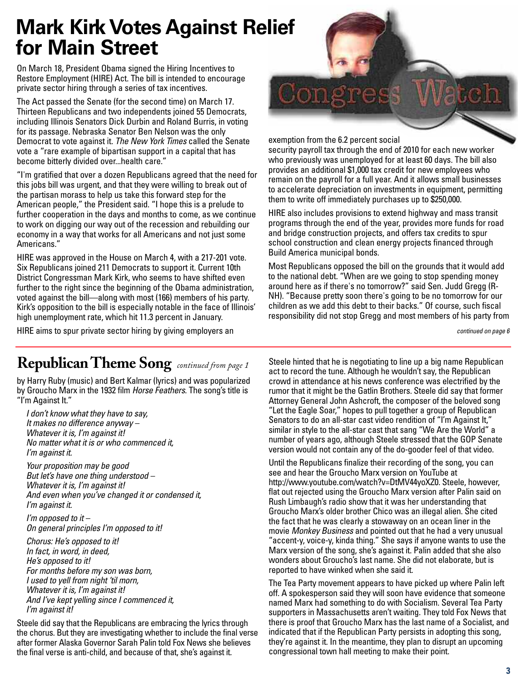# **Mark Kirk Votes Against Relief for Main Street**

On March 18, President Obama signed the Hiring Incentives to Restore Employment (HIRE) Act. The bill is intended to encourage private sector hiring through a series of tax incentives.

The Act passed the Senate (for the second time) on March 17. Thirteen Republicans and two independents joined 55 Democrats, including Illinois Senators Dick Durbin and Roland Burris, in voting for its passage. Nebraska Senator Ben Nelson was the only Democrat to vote against it. *The New York Times* called the Senate vote a "rare example of bipartisan support in a capital that has become bitterly divided over...health care."

"I'm gratified that over a dozen Republicans agreed that the need for this jobs bill was urgent, and that they were willing to break out of the partisan morass to help us take this forward step for the American people," the President said. "I hope this is a prelude to further cooperation in the days and months to come, as we continue to work on digging our way out of the recession and rebuilding our economy in a way that works for all Americans and not just some Americans."

HIRE was approved in the House on March 4, with a 217-201 vote. Six Republicans joined 211 Democrats to support it. Current 10th District Congressman Mark Kirk, who seems to have shifted even further to the right since the beginning of the Obama administration, voted against the bill—along with most (166) members of his party. Kirk's opposition to the bill is especially notable in the face of Illinois' high unemployment rate, which hit 11.3 percent in January.

exemption from the 6.2 percent social

security payroll tax through the end of 2010 for each new worker who previously was unemployed for at least 60 days. The bill also provides an additional \$1,000 tax credit for new employees who remain on the payroll for a full year. And it allows small businesses to accelerate depreciation on investments in equipment, permitting them to write off immediately purchases up to \$250,000.

HIRE also includes provisions to extend highway and mass transit programs through the end of the year, provides more funds for road and bridge construction projects, and offers tax credits to spur school construction and clean energy projects financed through Build America municipal bonds.

Most Republicans opposed the bill on the grounds that it would add to the national debt. "When are we going to stop spending money around here as if there's no tomorrow?" said Sen. Judd Gregg (R-NH). "Because pretty soon there's going to be no tomorrow for our children as we add this debt to their backs." Of course, such fiscal responsibility did not stop Gregg and most members of his party from

*continued on page 6*

### HIRE aims to spur private sector hiring by giving employers an

### **Republican Theme Song** *continued from page 1*

by Harry Ruby (music) and Bert Kalmar (lyrics) and was popularized by Groucho Marx in the 1932 film *Horse Feathers*. The song's title is "I'm Against It."

*I don't know what they have to say, It makes no difference anyway – Whatever it is, I'm against it! No matter what it is or who commenced it, I'm against it.* 

*Your proposition may be good But let's have one thing understood – Whatever it is, I'm against it! And even when you've changed it or condensed it, I'm against it.* 

*I'm opposed to it – On general principles I'm opposed to it!* 

*Chorus: He's opposed to it! In fact, in word, in deed, He's opposed to it! For months before my son was born, I used to yell from night 'til morn, Whatever it is, I'm against it! And I've kept yelling since I commenced it, I'm against it!* 

Steele did say that the Republicans are embracing the lyrics through the chorus. But they are investigating whether to include the final verse after former Alaska Governor Sarah Palin told Fox News she believes the final verse is anti-child, and because of that, she's against it.

Steele hinted that he is negotiating to line up a big name Republican act to record the tune. Although he wouldn't say, the Republican crowd in attendance at his news conference was electrified by the rumor that it might be the Gatlin Brothers. Steele did say that former Attorney General John Ashcroft, the composer of the beloved song "Let the Eagle Soar," hopes to pull together a group of Republican Senators to do an all-star cast video rendition of "I'm Against It," similar in style to the all-star cast that sang "We Are the World" a number of years ago, although Steele stressed that the GOP Senate version would not contain any of the do-gooder feel of that video.

Until the Republicans finalize their recording of the song, you can see and hear the Groucho Marx version on YouTube at [http://www.youtube.com/watch?v=DtMV44yoXZ0.](http://www.youtube.com/watch?v=DtMV44yoXZ0) Steele, however, flat out rejected using the Groucho Marx version after Palin said on Rush Limbaugh's radio show that it was her understanding that Groucho Marx's older brother Chico was an illegal alien. She cited the fact that he was clearly a stowaway on an ocean liner in the movie *Monkey Business* and pointed out that he had a very unusual "accent-y, voice-y, kinda thing." She says if anyone wants to use the Marx version of the song, she's against it. Palin added that she also wonders about Groucho's last name. She did not elaborate, but is reported to have winked when she said it.

The Tea Party movement appears to have picked up where Palin left off. A spokesperson said they will soon have evidence that someone named Marx had something to do with Socialism. Several Tea Party supporters in Massachusetts aren't waiting. They told Fox News that there is proof that Groucho Marx has the last name of a Socialist, and indicated that if the Republican Party persists in adopting this song, they're against it. In the meantime, they plan to disrupt an upcoming congressional town hall meeting to make their point.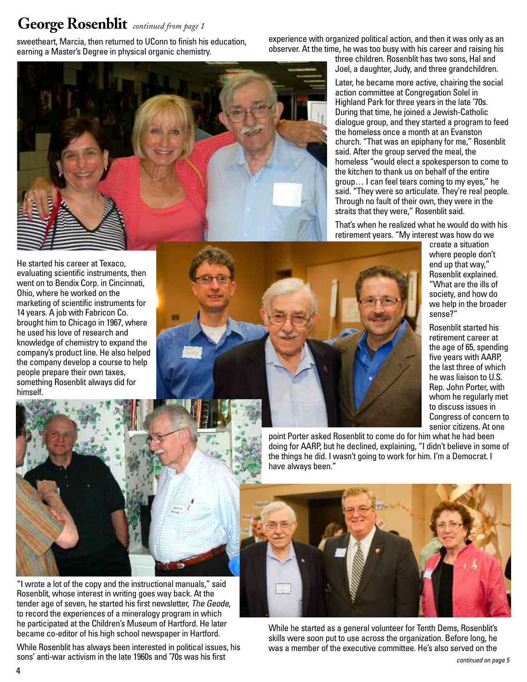### **George Rosenblit** *continued from page 1*

sweetheart, Marcia, then returned to UConn to finish his education, earning a Master's Degree in physical organic chemistry.

experience with organized political action, and then it was only as an observer. At the time, he was too busy with his career and raising his

He started his career at Texaco, evaluating scientific instruments, then went on to Bendix Corp. in Cincinnati, Ohio, where he worked on the marketing of scientific instruments for 14 years. A job with Fabricon Co. brought him to Chicago in 1967, where he used his love of research and knowledge of chemistry to expand the company's product line. He also helped the company develop a course to help people prepare their own taxes, something Rosenblit always did for himself.



"I wrote a lot of the copy and the instructional manuals," said Rosenblit, whose interest in writing goes way back. At the tender age of seven, he started his first newsletter, *The Geode*, to record the experiences of a mineralogy program in which he participated at the Children's Museum of Hartford. He later became co-editor of his high school newspaper in Hartford.

While Rosenblit has always been interested in political issues, his sons' anti-war activism in the late 1960s and '70s was his first

three children. Rosenblit has two sons, Hal and Joel, a daughter, Judy, and three grandchildren.

Later, he became more active, chairing the social action committee at Congregation Solel in Highland Park for three years in the late '70s. During that time, he joined a Jewish-Catholic dialogue group, and they started a program to feed the homeless once a month at an Evanston church. "That was an epiphany for me," Rosenblit said. After the group served the meal, the homeless "would elect a spokesperson to come to the kitchen to thank us on behalf of the entire group… I can feel tears coming to my eyes," he said. "They were so articulate. They're real people. Through no fault of their own, they were in the straits that they were," Rosenblit said.

That's when he realized what he would do with his retirement years. "My interest was how do we

create a situation where people don't end up that way," Rosenblit explained. "What are the ills of society, and how do we help in the broader sense?"

Rosenblit started his retirement career at the age of 65, spending five years with AARP, the last three of which he was liaison to U.S. Rep. John Porter, with whom he regularly met to discuss issues in Congress of concern to senior citizens. At one



point Porter asked Rosenblit to come do for him what he had been doing for AARP, but he declined, explaining, "I didn't believe in some of the things he did. I wasn't going to work for him. I'm a Democrat. I have always been."



While he started as a general volunteer for Tenth Dems, Rosenblit's skills were soon put to use across the organization. Before long, he was a member of the executive committee. He's also served on the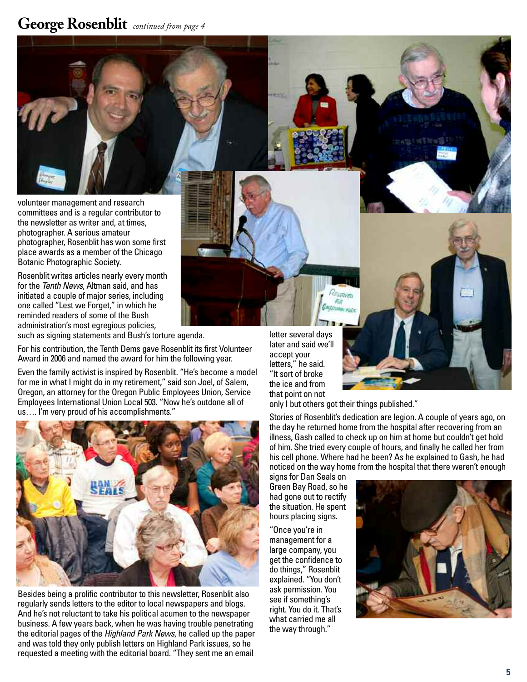### **George Rosenblit** *continued from page 4*

volunteer management and research committees and is a regular contributor to the newsletter as writer and, at times, photographer. A serious amateur photographer, Rosenblit has won some first place awards as a member of the Chicago Botanic Photographic Society.

Rosenblit writes articles nearly every month for the *Tenth News*, Altman said, and has initiated a couple of major series, including one called "Lest we Forget," in which he reminded readers of some of the Bush administration's most egregious policies, such as signing statements and Bush's torture agenda.

For his contribution, the Tenth Dems gave Rosenblit its first Volunteer

Award in 2006 and named the award for him the following year.

Even the family activist is inspired by Rosenblit. "He's become a model for me in what I might do in my retirement," said son Joel, of Salem, Oregon, an attorney for the Oregon Public Employees Union, Service Employees International Union Local 503. "Now he's outdone all of us…. I'm very proud of his accomplishments."



Besides being a prolific contributor to this newsletter, Rosenblit also regularly sends letters to the editor to local newspapers and blogs. And he's not reluctant to take his political acumen to the newspaper business. A few years back, when he was having trouble penetrating the editorial pages of the *Highland Park News*, he called up the paper and was told they only publish letters on Highland Park issues, so he requested a meeting with the editorial board. "They sent me an email

letter several days later and said we'll accept your letters," he said. "It sort of broke the ice and from that point on not

only I but others got their things published."

CHRYPO

Stories of Rosenblit's dedication are legion. A couple of years ago, on the day he returned home from the hospital after recovering from an illness, Gash called to check up on him at home but couldn't get hold of him. She tried every couple of hours, and finally he called her from his cell phone. Where had he been? As he explained to Gash, he had noticed on the way home from the hospital that there weren't enough

signs for Dan Seals on Green Bay Road, so he had gone out to rectify the situation. He spent hours placing signs.

"Once you're in management for a large company, you get the confidence to do things," Rosenblit explained. "You don't ask permission. You see if something's right. You do it. That's what carried me all the way through."

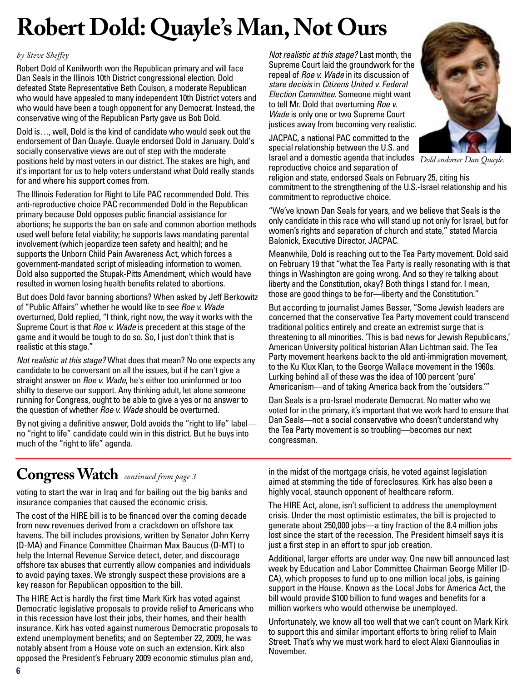# **Robert Dold: Quayle's Man, Not Ours**

### *by Steve Sheffey*

Robert Dold of Kenilworth won the Republican primary and will face Dan Seals in the Illinois 10th District congressional election. Dold defeated State Representative Beth Coulson, a moderate Republican who would have appealed to many independent 10th District voters and who would have been a tough opponent for any Democrat. Instead, the conservative wing of the Republican Party gave us Bob Dold.

Dold is…, well, Dold is the kind of candidate who would seek out the endorsement of Dan Quayle. Quayle endorsed Dold in January. Dold's socially conservative views are out of step with the moderate positions held by most voters in our district. The stakes are high, and it's important for us to help voters understand what Dold really stands for and where his support comes from.

The Illinois Federation for Right to Life PAC recommended Dold. This anti-reproductive choice PAC recommended Dold in the Republican primary because Dold opposes public financial assistance for abortions; he supports the ban on safe and common abortion methods used well before fetal viability; he supports laws mandating parental involvement (which jeopardize teen safety and health); and he supports the Unborn Child Pain Awareness Act, which forces a government-mandated script of misleading information to women. Dold also supported the Stupak-Pitts Amendment, which would have resulted in women losing health benefits related to abortions.

But does Dold favor banning abortions? When asked by Jeff Berkowitz of "Public Affairs" whether he would like to see *Roe v. Wade* overturned, Dold replied, "I think, right now, the way it works with the Supreme Court is that *Roe v. Wade* is precedent at this stage of the game and it would be tough to do so. So, I just don't think that is realistic at this stage."

*Not realistic at this stage?* What does that mean? No one expects any candidate to be conversant on all the issues, but if he can't give a straight answer on *Roe v. Wade*, he's either too uninformed or too shifty to deserve our support. Any thinking adult, let alone someone running for Congress, ought to be able to give a yes or no answer to the question of whether *Roe v. Wade* should be overturned.

By not giving a definitive answer, Dold avoids the "right to life" label no "right to life" candidate could win in this district. But he buys into much of the "right to life" agenda.

*Not realistic at this stage?* Last month, the Supreme Court laid the groundwork for the repeal of *Roe v. Wade* in its discussion of *stare decisis* in *Citizens United v. Federal Election Committee*. Someone might want to tell Mr. Dold that overturning *Roe v. Wade* is only one or two Supreme Court justices away from becoming very realistic.

JACPAC, a national PAC committed to the special relationship between the U.S. and Israel and a domestic agenda that includes *Dold endorser Dan Quayle.*reproductive choice and separation of



religion and state, endorsed Seals on February 25, citing his commitment to the strengthening of the U.S.-Israel relationship and his commitment to reproductive choice.

"We've known Dan Seals for years, and we believe that Seals is the only candidate in this race who will stand up not only for Israel, but for women's rights and separation of church and state," stated Marcia Balonick, Executive Director, JACPAC.

Meanwhile, Dold is reaching out to the Tea Party movement. Dold said on February 19 that "what the Tea Party is really resonating with is that things in Washington are going wrong. And so they're talking about liberty and the Constitution, okay? Both things I stand for. I mean, those are good things to be for—liberty and the Constitution."

But according to journalist James Besser, "Some Jewish leaders are concerned that the conservative Tea Party movement could transcend traditional politics entirely and create an extremist surge that is threatening to all minorities. 'This is bad news for Jewish Republicans,' American University political historian Allan Lichtman said. The Tea Party movement hearkens back to the old anti-immigration movement, to the Ku Klux Klan, to the George Wallace movement in the 1960s. Lurking behind all of these was the idea of 100 percent 'pure' Americanism—and of taking America back from the 'outsiders.'"

Dan Seals is a pro-Israel moderate Democrat. No matter who we voted for in the primary, it's important that we work hard to ensure that Dan Seals—not a social conservative who doesn't understand why the Tea Party movement is so troubling—becomes our next congressman.

# **Congress Watch** *continued from page 3*

voting to start the war in Iraq and for bailing out the big banks and insurance companies that caused the economic crisis.

The cost of the HIRE bill is to be financed over the coming decade from new revenues derived from a crackdown on offshore tax havens. The bill includes provisions, written by Senator John Kerry (D-MA) and Finance Committee Chairman Max Baucus (D-MT) to help the Internal Revenue Service detect, deter, and discourage offshore tax abuses that currently allow companies and individuals to avoid paying taxes. We strongly suspect these provisions are a key reason for Republican opposition to the bill.

The HIRE Act is hardly the first time Mark Kirk has voted against Democratic legislative proposals to provide relief to Americans who in this recession have lost their jobs, their homes, and their health insurance. Kirk has voted against numerous Democratic proposals to extend unemployment benefits; and on September 22, 2009, he was notably absent from a House vote on such an extension. Kirk also opposed the President's February 2009 economic stimulus plan and,

in the midst of the mortgage crisis, he voted against legislation aimed at stemming the tide of foreclosures. Kirk has also been a highly vocal, staunch opponent of healthcare reform.

The HIRE Act, alone, isn't sufficient to address the unemployment crisis. Under the most optimistic estimates, the bill is projected to generate about 250,000 jobs—a tiny fraction of the 8.4 million jobs lost since the start of the recession. The President himself says it is just a first step in an effort to spur job creation.

Additional, larger efforts are under way. One new bill announced last week by Education and Labor Committee Chairman George Miller (D-CA), which proposes to fund up to one million local jobs, is gaining support in the House. Known as the Local Jobs for America Act, the bill would provide \$100 billion to fund wages and benefits for a million workers who would otherwise be unemployed.

Unfortunately, we know all too well that we can't count on Mark Kirk to support this and similar important efforts to bring relief to Main Street. That's why we must work hard to elect Alexi Giannoulias in November.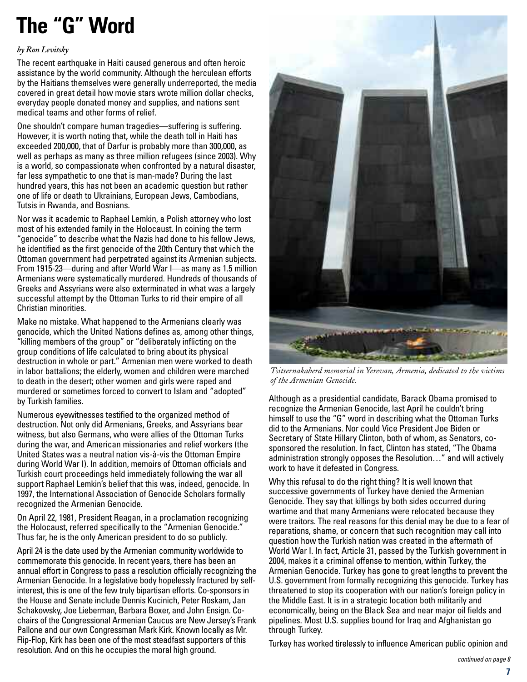# **The "G" Word**

#### *by Ron Levitsky*

The recent earthquake in Haiti caused generous and often heroic assistance by the world community. Although the herculean efforts by the Haitians themselves were generally underreported, the media covered in great detail how movie stars wrote million dollar checks, everyday people donated money and supplies, and nations sent medical teams and other forms of relief.

One shouldn't compare human tragedies—suffering is suffering. However, it is worth noting that, while the death toll in Haiti has exceeded 200,000, that of Darfur is probably more than 300,000, as well as perhaps as many as three million refugees (since 2003). Why is a world, so compassionate when confronted by a natural disaster, far less sympathetic to one that is man-made? During the last hundred years, this has not been an academic question but rather one of life or death to Ukrainians, European Jews, Cambodians, Tutsis in Rwanda, and Bosnians.

Nor was it academic to Raphael Lemkin, a Polish attorney who lost most of his extended family in the Holocaust. In coining the term "genocide" to describe what the Nazis had done to his fellow Jews, he identified as the first genocide of the 20th Century that which the Ottoman government had perpetrated against its Armenian subjects. From 1915-23—during and after World War I—as many as 1.5 million Armenians were systematically murdered. Hundreds of thousands of Greeks and Assyrians were also exterminated in what was a largely successful attempt by the Ottoman Turks to rid their empire of all Christian minorities.

Make no mistake. What happened to the Armenians clearly was genocide, which the United Nations defines as, among other things, "killing members of the group" or "deliberately inflicting on the group conditions of life calculated to bring about its physical destruction in whole or part." Armenian men were worked to death in labor battalions; the elderly, women and children were marched to death in the desert; other women and girls were raped and murdered or sometimes forced to convert to Islam and "adopted" by Turkish families.

Numerous eyewitnesses testified to the organized method of destruction. Not only did Armenians, Greeks, and Assyrians bear witness, but also Germans, who were allies of the Ottoman Turks during the war, and American missionaries and relief workers (the United States was a neutral nation vis-à-vis the Ottoman Empire during World War I). In addition, memoirs of Ottoman officials and Turkish court proceedings held immediately following the war all support Raphael Lemkin's belief that this was, indeed, genocide. In 1997, the International Association of Genocide Scholars formally recognized the Armenian Genocide.

On April 22, 1981, President Reagan, in a proclamation recognizing the Holocaust, referred specifically to the "Armenian Genocide." Thus far, he is the only American president to do so publicly.

April 24 is the date used by the Armenian community worldwide to commemorate this genocide. In recent years, there has been an annual effort in Congress to pass a resolution officially recognizing the Armenian Genocide. In a legislative body hopelessly fractured by selfinterest, this is one of the few truly bipartisan efforts. Co-sponsors in the House and Senate include Dennis Kucinich, Peter Roskam, Jan Schakowsky, Joe Lieberman, Barbara Boxer, and John Ensign. Cochairs of the Congressional Armenian Caucus are New Jersey's Frank Pallone and our own Congressman Mark Kirk. Known locally as Mr. Flip-Flop, Kirk has been one of the most steadfast supporters of this resolution. And on this he occupies the moral high ground.



*Tsitsernakaberd memorial in Yerevan, Armenia, dedicated to the victims of the Armenian Genocide.*

Although as a presidential candidate, Barack Obama promised to recognize the Armenian Genocide, last April he couldn't bring himself to use the "G" word in describing what the Ottoman Turks did to the Armenians. Nor could Vice President Joe Biden or Secretary of State Hillary Clinton, both of whom, as Senators, cosponsored the resolution. In fact, Clinton has stated, "The Obama administration strongly opposes the Resolution…" and will actively work to have it defeated in Congress.

Why this refusal to do the right thing? It is well known that successive governments of Turkey have denied the Armenian Genocide. They say that killings by both sides occurred during wartime and that many Armenians were relocated because they were traitors. The real reasons for this denial may be due to a fear of reparations, shame, or concern that such recognition may call into question how the Turkish nation was created in the aftermath of World War I. In fact, Article 31, passed by the Turkish government in 2004, makes it a criminal offense to mention, within Turkey, the Armenian Genocide. Turkey has gone to great lengths to prevent the U.S. government from formally recognizing this genocide. Turkey has threatened to stop its cooperation with our nation's foreign policy in the Middle East. It is in a strategic location both militarily and economically, being on the Black Sea and near major oil fields and pipelines. Most U.S. supplies bound for Iraq and Afghanistan go through Turkey.

Turkey has worked tirelessly to influence American public opinion and